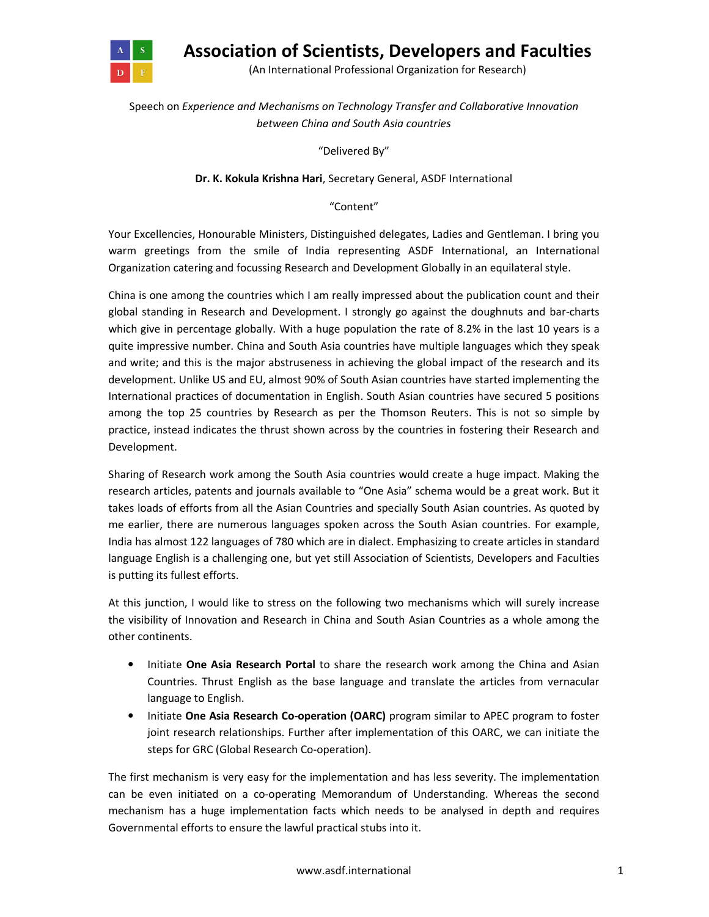

Association of Scientists, Developers and Faculties

(An International Professional Organization for Research)

## Speech on Experience and Mechanisms on Technology Transfer and Collaborative Innovation between China and South Asia countries

"Delivered By"

## Dr. K. Kokula Krishna Hari, Secretary General, ASDF International

"Content"

Your Excellencies, Honourable Ministers, Distinguished delegates, Ladies and Gentleman. I bring you warm greetings from the smile of India representing ASDF International, an International Organization catering and focussing Research and Development Globally in an equilateral style.

China is one among the countries which I am really impressed about the publication count and their global standing in Research and Development. I strongly go against the doughnuts and bar-charts which give in percentage globally. With a huge population the rate of 8.2% in the last 10 years is a quite impressive number. China and South Asia countries have multiple languages which they speak and write; and this is the major abstruseness in achieving the global impact of the research and its development. Unlike US and EU, almost 90% of South Asian countries have started implementing the International practices of documentation in English. South Asian countries have secured 5 positions among the top 25 countries by Research as per the Thomson Reuters. This is not so simple by practice, instead indicates the thrust shown across by the countries in fostering their Research and Development.

Sharing of Research work among the South Asia countries would create a huge impact. Making the research articles, patents and journals available to "One Asia" schema would be a great work. But it takes loads of efforts from all the Asian Countries and specially South Asian countries. As quoted by me earlier, there are numerous languages spoken across the South Asian countries. For example, India has almost 122 languages of 780 which are in dialect. Emphasizing to create articles in standard language English is a challenging one, but yet still Association of Scientists, Developers and Faculties is putting its fullest efforts.

At this junction, I would like to stress on the following two mechanisms which will surely increase the visibility of Innovation and Research in China and South Asian Countries as a whole among the other continents.

- Initiate One Asia Research Portal to share the research work among the China and Asian Countries. Thrust English as the base language and translate the articles from vernacular language to English.
- Initiate One Asia Research Co-operation (OARC) program similar to APEC program to foster joint research relationships. Further after implementation of this OARC, we can initiate the steps for GRC (Global Research Co-operation).

The first mechanism is very easy for the implementation and has less severity. The implementation can be even initiated on a co-operating Memorandum of Understanding. Whereas the second mechanism has a huge implementation facts which needs to be analysed in depth and requires Governmental efforts to ensure the lawful practical stubs into it.